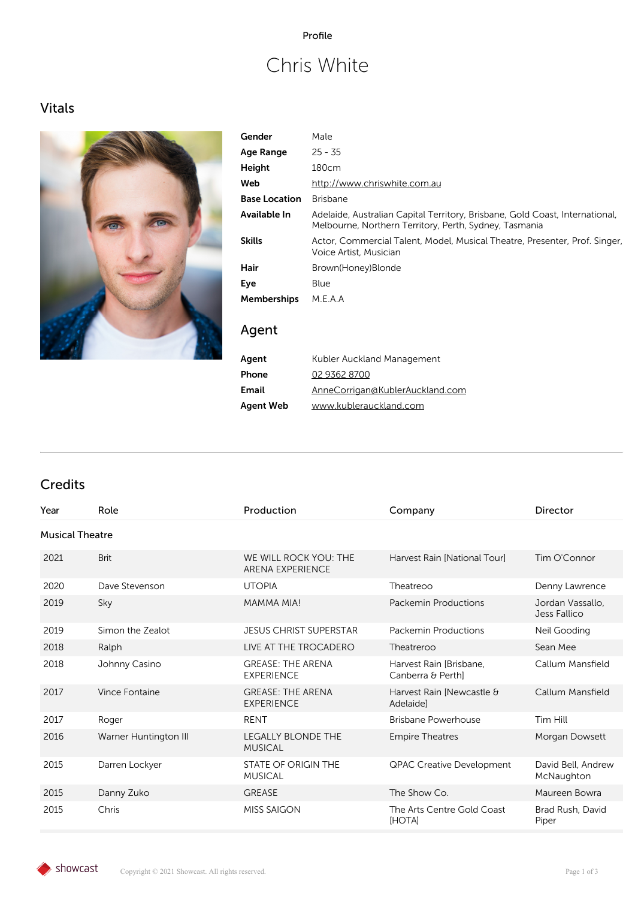### Profile

# Chris White

### Vitals



| Gender               | Male                                                                                                                                   |
|----------------------|----------------------------------------------------------------------------------------------------------------------------------------|
| Age Range            | $25 - 35$                                                                                                                              |
| Height               | 180cm                                                                                                                                  |
| Web                  | http://www.chriswhite.com.au                                                                                                           |
| <b>Base Location</b> | <b>Brisbane</b>                                                                                                                        |
| Available In         | Adelaide, Australian Capital Territory, Brisbane, Gold Coast, International,<br>Melbourne, Northern Territory, Perth, Sydney, Tasmania |
| <b>Skills</b>        | Actor, Commercial Talent, Model, Musical Theatre, Presenter, Prof. Singer,<br>Voice Artist, Musician                                   |
| Hair                 | Brown(Honey)Blonde                                                                                                                     |
| Eye                  | Blue                                                                                                                                   |
| <b>Memberships</b>   | M.E.A.A                                                                                                                                |
| Agent                |                                                                                                                                        |

| Agent     | Kubler Auckland Management      |
|-----------|---------------------------------|
| Phone     | 02 9362 8700                    |
| Email     | AnneCorrigan@KublerAuckland.com |
| Agent Web | www.kublerauckland.com          |

### Credits

| Year | Role                   | Production                                       | Company                                      | Director                         |  |
|------|------------------------|--------------------------------------------------|----------------------------------------------|----------------------------------|--|
|      | <b>Musical Theatre</b> |                                                  |                                              |                                  |  |
| 2021 | <b>Brit</b>            | WE WILL ROCK YOU: THE<br><b>ARENA EXPERIENCE</b> | Harvest Rain [National Tour]                 | Tim O'Connor                     |  |
| 2020 | Dave Stevenson         | <b>UTOPIA</b>                                    | Theatreoo                                    | Denny Lawrence                   |  |
| 2019 | Sky                    | <b>MAMMA MIA!</b>                                | <b>Packemin Productions</b>                  | Jordan Vassallo,<br>Jess Fallico |  |
| 2019 | Simon the Zealot       | <b>JESUS CHRIST SUPERSTAR</b>                    | Packemin Productions                         | Neil Gooding                     |  |
| 2018 | Ralph                  | LIVE AT THE TROCADERO                            | Theatreroo                                   | Sean Mee                         |  |
| 2018 | Johnny Casino          | <b>GREASE: THE ARENA</b><br><b>EXPERIENCE</b>    | Harvest Rain [Brisbane,<br>Canberra & Perthl | Callum Mansfield                 |  |
| 2017 | Vince Fontaine         | <b>GREASE: THE ARENA</b><br><b>EXPERIENCE</b>    | Harvest Rain [Newcastle &<br>Adelaidel       | Callum Mansfield                 |  |
| 2017 | Roger                  | <b>RENT</b>                                      | <b>Brisbane Powerhouse</b>                   | Tim Hill                         |  |
| 2016 | Warner Huntington III  | <b>LEGALLY BLONDE THE</b><br><b>MUSICAL</b>      | <b>Empire Theatres</b>                       | Morgan Dowsett                   |  |
| 2015 | Darren Lockyer         | <b>STATE OF ORIGIN THE</b><br><b>MUSICAL</b>     | QPAC Creative Development                    | David Bell, Andrew<br>McNaughton |  |
| 2015 | Danny Zuko             | <b>GREASE</b>                                    | The Show Co.                                 | Maureen Bowra                    |  |
| 2015 | Chris                  | <b>MISS SAIGON</b>                               | The Arts Centre Gold Coast<br>[HOTA]         | Brad Rush, David<br>Piper        |  |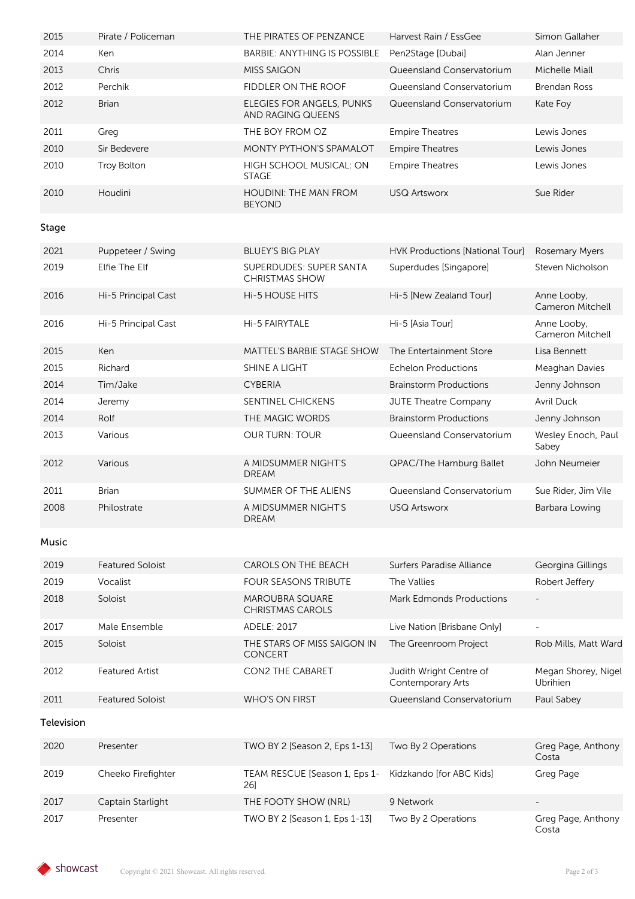| 2015       | Pirate / Policeman      | THE PIRATES OF PENZANCE                                 | Harvest Rain / EssGee                        | Simon Gallaher                  |
|------------|-------------------------|---------------------------------------------------------|----------------------------------------------|---------------------------------|
| 2014       | Ken                     | <b>BARBIE: ANYTHING IS POSSIBLE</b>                     | Pen2Stage [Dubai]                            | Alan Jenner                     |
| 2013       | Chris                   | <b>MISS SAIGON</b>                                      | Queensland Conservatorium                    | Michelle Miall                  |
| 2012       | Perchik                 | <b>FIDDLER ON THE ROOF</b>                              | Queensland Conservatorium                    | <b>Brendan Ross</b>             |
| 2012       | <b>Brian</b>            | <b>ELEGIES FOR ANGELS, PUNKS</b><br>AND RAGING QUEENS   | Queensland Conservatorium                    | Kate Foy                        |
| 2011       | Greg                    | THE BOY FROM OZ                                         | <b>Empire Theatres</b>                       | Lewis Jones                     |
| 2010       | Sir Bedevere            | <b>MONTY PYTHON'S SPAMALOT</b>                          | <b>Empire Theatres</b>                       | Lewis Jones                     |
| 2010       | <b>Troy Bolton</b>      | HIGH SCHOOL MUSICAL: ON<br><b>STAGE</b>                 | <b>Empire Theatres</b>                       | Lewis Jones                     |
| 2010       | Houdini                 | <b>HOUDINI: THE MAN FROM</b><br><b>BEYOND</b>           | <b>USQ Artsworx</b>                          | Sue Rider                       |
| Stage      |                         |                                                         |                                              |                                 |
| 2021       | Puppeteer / Swing       | <b>BLUEY'S BIG PLAY</b>                                 | <b>HVK Productions [National Tour]</b>       | Rosemary Myers                  |
| 2019       | Elfie The Elf           | <b>SUPERDUDES: SUPER SANTA</b><br><b>CHRISTMAS SHOW</b> | Superdudes [Singapore]                       | Steven Nicholson                |
| 2016       | Hi-5 Principal Cast     | <b>Hi-5 HOUSE HITS</b>                                  | Hi-5 [New Zealand Tour]                      | Anne Looby,<br>Cameron Mitchell |
| 2016       | Hi-5 Principal Cast     | Hi-5 FAIRYTALE                                          | Hi-5 [Asia Tourl                             | Anne Looby,<br>Cameron Mitchell |
| 2015       | Ken                     | <b>MATTEL'S BARBIE STAGE SHOW</b>                       | The Entertainment Store                      | Lisa Bennett                    |
| 2015       | Richard                 | SHINE A LIGHT                                           | <b>Echelon Productions</b>                   | Meaghan Davies                  |
| 2014       | Tim/Jake                | <b>CYBERIA</b>                                          | <b>Brainstorm Productions</b>                | Jenny Johnson                   |
| 2014       | Jeremy                  | SENTINEL CHICKENS                                       | <b>JUTE Theatre Company</b>                  | <b>Avril Duck</b>               |
| 2014       | Rolf                    | THE MAGIC WORDS                                         | <b>Brainstorm Productions</b>                | Jenny Johnson                   |
| 2013       | Various                 | <b>OUR TURN: TOUR</b>                                   | Queensland Conservatorium                    | Wesley Enoch, Paul<br>Sabey     |
| 2012       | Various                 | A MIDSUMMER NIGHT'S<br><b>DREAM</b>                     | QPAC/The Hamburg Ballet                      | John Neumeier                   |
| 2011       | <b>Brian</b>            | SUMMER OF THE ALIENS                                    | Queensland Conservatorium                    | Sue Rider, Jim Vile             |
| 2008       | Philostrate             | A MIDSUMMER NIGHT'S<br><b>DREAM</b>                     | USQ Artsworx                                 | Barbara Lowing                  |
| Music      |                         |                                                         |                                              |                                 |
| 2019       | <b>Featured Soloist</b> | <b>CAROLS ON THE BEACH</b>                              | Surfers Paradise Alliance                    | Georgina Gillings               |
| 2019       | Vocalist                | <b>FOUR SEASONS TRIBUTE</b>                             | The Vallies                                  | Robert Jeffery                  |
| 2018       | Soloist                 | <b>MAROUBRA SQUARE</b><br><b>CHRISTMAS CAROLS</b>       | <b>Mark Edmonds Productions</b>              |                                 |
| 2017       | Male Ensemble           | ADELE: 2017                                             | Live Nation [Brisbane Only]                  |                                 |
| 2015       | Soloist                 | THE STARS OF MISS SAIGON IN<br>CONCERT                  | The Greenroom Project                        | Rob Mills, Matt Ward            |
| 2012       | <b>Featured Artist</b>  | <b>CON2 THE CABARET</b>                                 | Judith Wright Centre of<br>Contemporary Arts | Megan Shorey, Nigel<br>Ubrihien |
| 2011       | <b>Featured Soloist</b> | <b>WHO'S ON FIRST</b>                                   | Queensland Conservatorium                    | Paul Sabey                      |
| Television |                         |                                                         |                                              |                                 |
| 2020       | Presenter               | TWO BY 2 [Season 2, Eps 1-13]                           | Two By 2 Operations                          | Greg Page, Anthony<br>Costa     |
| 2019       | Cheeko Firefighter      | TEAM RESCUE [Season 1, Eps 1-<br>26]                    | Kidzkando [for ABC Kids]                     | Greg Page                       |
| 2017       | Captain Starlight       | THE FOOTY SHOW (NRL)                                    | 9 Network                                    |                                 |
| 2017       | Presenter               | TWO BY 2 [Season 1, Eps 1-13]                           | Two By 2 Operations                          | Greg Page, Anthony<br>Costa     |